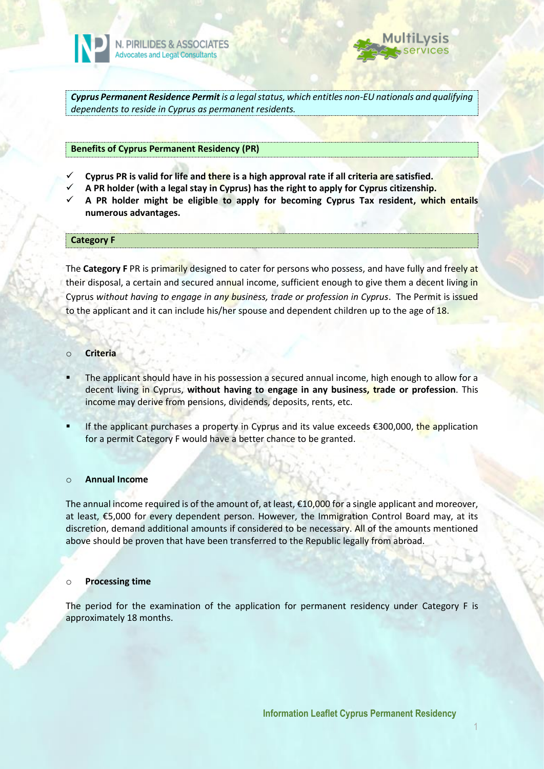



*Cyprus Permanent Residence Permit is a legal status, which entitles non-EU nationals and qualifying dependents to reside in Cyprus as permanent residents.*

## **Benefits of Cyprus Permanent Residency (PR)**

- **Cyprus PR is valid for life and there is a high approval rate if all criteria are satisfied.**
- **A PR holder (with a legal stay in Cyprus) has the right to apply for Cyprus citizenship.**
- **A PR holder might be eligible to apply for becoming Cyprus Tax resident, which entails numerous advantages.**

## **Category F**

The **Category F** PR is primarily designed to cater for persons who possess, and have fully and freely at their disposal, a certain and secured annual income, sufficient enough to give them a decent living in Cyprus *without having to engage in any business, trade or profession in Cyprus*. The Permit is issued to the applicant and it can include his/her spouse and dependent children up to the age of 18.

## o **Criteria**

- The applicant should have in his possession a secured annual income, high enough to allow for a decent living in Cyprus, **without having to engage in any business, trade or profession**. This income may derive from pensions, dividends, deposits, rents, etc.
- If the applicant purchases a property in Cyprus and its value exceeds  $\epsilon$ 300,000, the application for a permit Category F would have a better chance to be granted.

## o **Annual Income**

The annual income required is of the amount of, at least,  $\epsilon$ 10,000 for a single applicant and moreover, at least, €5,000 for every dependent person. However, the Immigration Control Board may, at its discretion, demand additional amounts if considered to be necessary. All of the amounts mentioned above should be proven that have been transferred to the Republic legally from abroad.

## o **Processing time**

The period for the examination of the application for permanent residency under Category F is approximately 18 months.